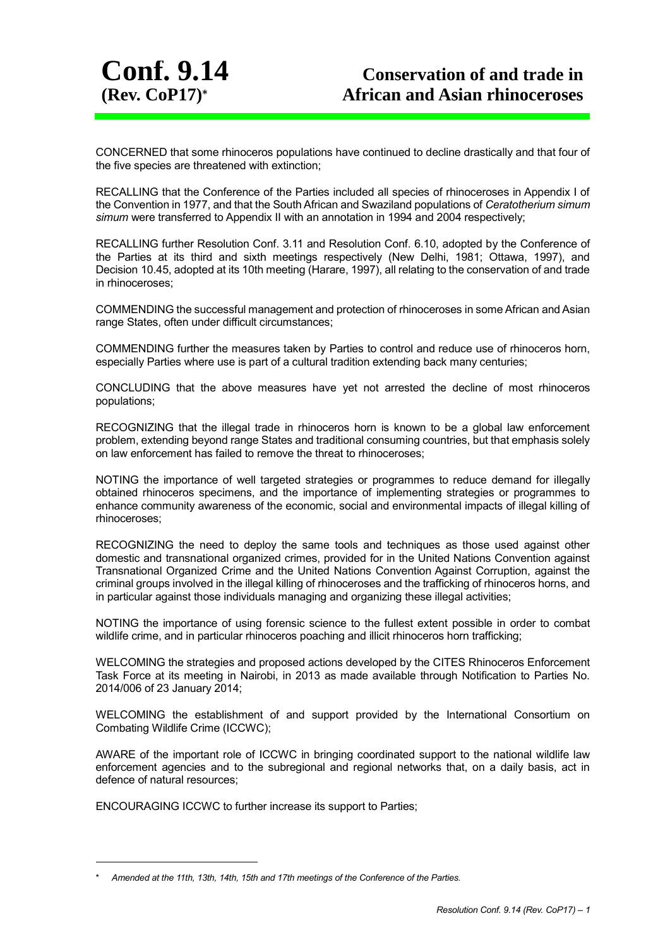

CONCERNED that some rhinoceros populations have continued to decline drastically and that four of the five species are threatened with extinction;

RECALLING that the Conference of the Parties included all species of rhinoceroses in Appendix I of the Convention in 1977, and that the South African and Swaziland populations of *Ceratotherium simum simum* were transferred to Appendix II with an annotation in 1994 and 2004 respectively;

RECALLING further Resolution Conf. 3.11 and Resolution Conf. 6.10, adopted by the Conference of the Parties at its third and sixth meetings respectively (New Delhi, 1981; Ottawa, 1997), and Decision 10.45, adopted at its 10th meeting (Harare, 1997), all relating to the conservation of and trade in rhinoceroses;

COMMENDING the successful management and protection of rhinoceroses in some African and Asian range States, often under difficult circumstances;

COMMENDING further the measures taken by Parties to control and reduce use of rhinoceros horn, especially Parties where use is part of a cultural tradition extending back many centuries;

CONCLUDING that the above measures have yet not arrested the decline of most rhinoceros populations;

RECOGNIZING that the illegal trade in rhinoceros horn is known to be a global law enforcement problem, extending beyond range States and traditional consuming countries, but that emphasis solely on law enforcement has failed to remove the threat to rhinoceroses;

NOTING the importance of well targeted strategies or programmes to reduce demand for illegally obtained rhinoceros specimens, and the importance of implementing strategies or programmes to enhance community awareness of the economic, social and environmental impacts of illegal killing of rhinoceroses;

RECOGNIZING the need to deploy the same tools and techniques as those used against other domestic and transnational organized crimes, provided for in the United Nations Convention against Transnational Organized Crime and the United Nations Convention Against Corruption, against the criminal groups involved in the illegal killing of rhinoceroses and the trafficking of rhinoceros horns, and in particular against those individuals managing and organizing these illegal activities;

NOTING the importance of using forensic science to the fullest extent possible in order to combat wildlife crime, and in particular rhinoceros poaching and illicit rhinoceros horn trafficking;

WELCOMING the strategies and proposed actions developed by the CITES Rhinoceros Enforcement Task Force at its meeting in Nairobi, in 2013 as made available through Notification to Parties No. 2014/006 of 23 January 2014;

WELCOMING the establishment of and support provided by the International Consortium on Combating Wildlife Crime (ICCWC);

AWARE of the important role of ICCWC in bringing coordinated support to the national wildlife law enforcement agencies and to the subregional and regional networks that, on a daily basis, act in defence of natural resources;

ENCOURAGING ICCWC to further increase its support to Parties;

1

<sup>\*</sup> *Amended at the 11th, 13th, 14th, 15th and 17th meetings of the Conference of the Parties.*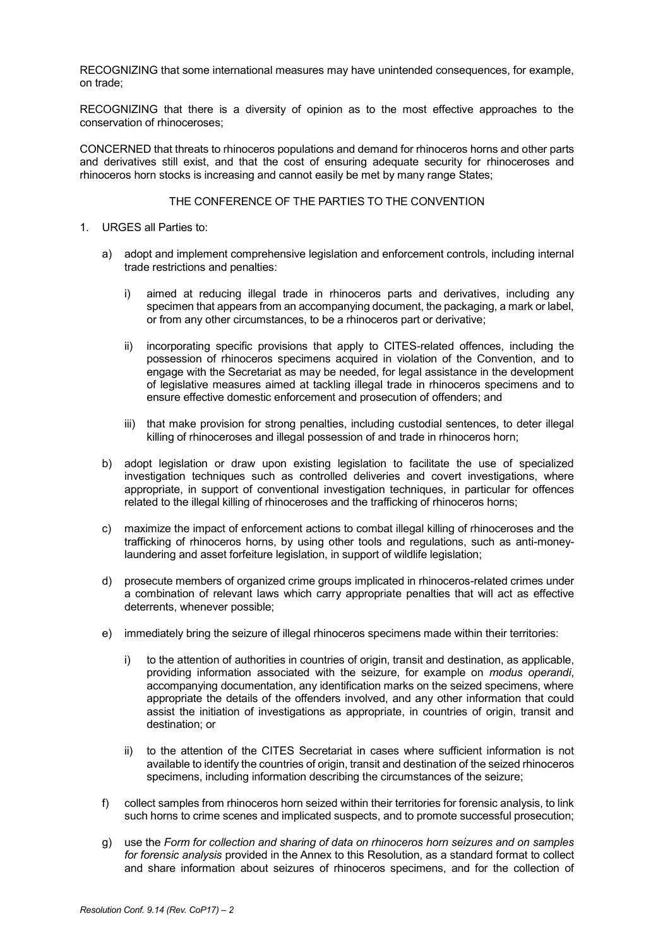RECOGNIZING that some international measures may have unintended consequences, for example, on trade;

RECOGNIZING that there is a diversity of opinion as to the most effective approaches to the conservation of rhinoceroses;

CONCERNED that threats to rhinoceros populations and demand for rhinoceros horns and other parts and derivatives still exist, and that the cost of ensuring adequate security for rhinoceroses and rhinoceros horn stocks is increasing and cannot easily be met by many range States;

#### THE CONFERENCE OF THE PARTIES TO THE CONVENTION

- 1. URGES all Parties to:
	- a) adopt and implement comprehensive legislation and enforcement controls, including internal trade restrictions and penalties:
		- i) aimed at reducing illegal trade in rhinoceros parts and derivatives, including any specimen that appears from an accompanying document, the packaging, a mark or label, or from any other circumstances, to be a rhinoceros part or derivative;
		- ii) incorporating specific provisions that apply to CITES-related offences, including the possession of rhinoceros specimens acquired in violation of the Convention, and to engage with the Secretariat as may be needed, for legal assistance in the development of legislative measures aimed at tackling illegal trade in rhinoceros specimens and to ensure effective domestic enforcement and prosecution of offenders; and
		- iii) that make provision for strong penalties, including custodial sentences, to deter illegal killing of rhinoceroses and illegal possession of and trade in rhinoceros horn;
	- b) adopt legislation or draw upon existing legislation to facilitate the use of specialized investigation techniques such as controlled deliveries and covert investigations, where appropriate, in support of conventional investigation techniques, in particular for offences related to the illegal killing of rhinoceroses and the trafficking of rhinoceros horns;
	- c) maximize the impact of enforcement actions to combat illegal killing of rhinoceroses and the trafficking of rhinoceros horns, by using other tools and regulations, such as anti-moneylaundering and asset forfeiture legislation, in support of wildlife legislation;
	- d) prosecute members of organized crime groups implicated in rhinoceros-related crimes under a combination of relevant laws which carry appropriate penalties that will act as effective deterrents, whenever possible;
	- e) immediately bring the seizure of illegal rhinoceros specimens made within their territories:
		- i) to the attention of authorities in countries of origin, transit and destination, as applicable, providing information associated with the seizure, for example on *modus operandi*, accompanying documentation, any identification marks on the seized specimens, where appropriate the details of the offenders involved, and any other information that could assist the initiation of investigations as appropriate, in countries of origin, transit and destination; or
		- ii) to the attention of the CITES Secretariat in cases where sufficient information is not available to identify the countries of origin, transit and destination of the seized rhinoceros specimens, including information describing the circumstances of the seizure;
	- f) collect samples from rhinoceros horn seized within their territories for forensic analysis, to link such horns to crime scenes and implicated suspects, and to promote successful prosecution;
	- g) use the *Form for collection and sharing of data on rhinoceros horn seizures and on samples for forensic analysis* provided in the Annex to this Resolution, as a standard format to collect and share information about seizures of rhinoceros specimens, and for the collection of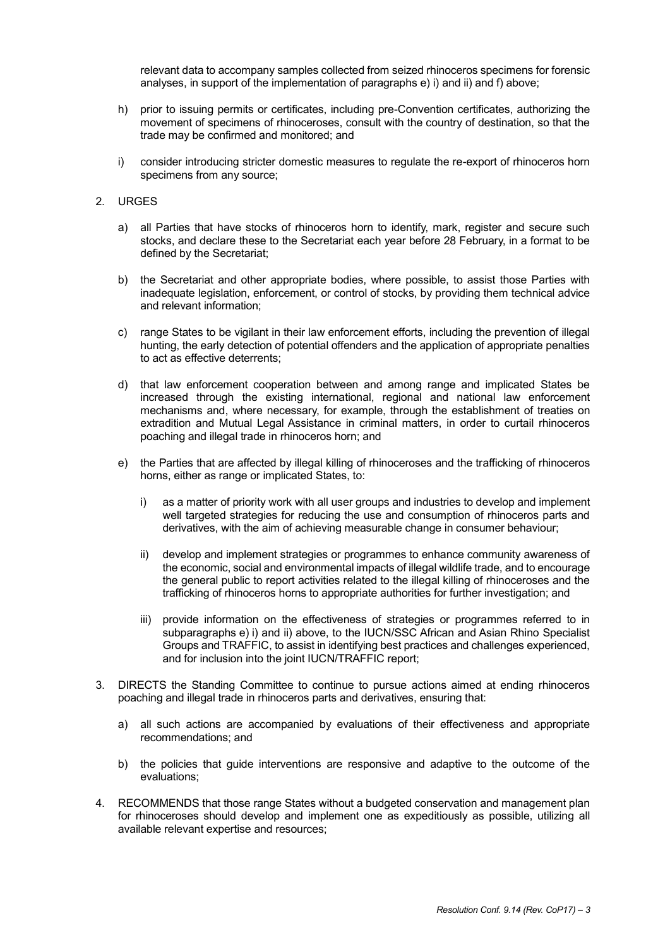relevant data to accompany samples collected from seized rhinoceros specimens for forensic analyses, in support of the implementation of paragraphs e) i) and ii) and f) above;

- h) prior to issuing permits or certificates, including pre-Convention certificates, authorizing the movement of specimens of rhinoceroses, consult with the country of destination, so that the trade may be confirmed and monitored; and
- i) consider introducing stricter domestic measures to regulate the re-export of rhinoceros horn specimens from any source;

#### 2. URGES

- a) all Parties that have stocks of rhinoceros horn to identify, mark, register and secure such stocks, and declare these to the Secretariat each year before 28 February, in a format to be defined by the Secretariat;
- b) the Secretariat and other appropriate bodies, where possible, to assist those Parties with inadequate legislation, enforcement, or control of stocks, by providing them technical advice and relevant information;
- c) range States to be vigilant in their law enforcement efforts, including the prevention of illegal hunting, the early detection of potential offenders and the application of appropriate penalties to act as effective deterrents;
- d) that law enforcement cooperation between and among range and implicated States be increased through the existing international, regional and national law enforcement mechanisms and, where necessary, for example, through the establishment of treaties on extradition and Mutual Legal Assistance in criminal matters, in order to curtail rhinoceros poaching and illegal trade in rhinoceros horn; and
- e) the Parties that are affected by illegal killing of rhinoceroses and the trafficking of rhinoceros horns, either as range or implicated States, to:
	- i) as a matter of priority work with all user groups and industries to develop and implement well targeted strategies for reducing the use and consumption of rhinoceros parts and derivatives, with the aim of achieving measurable change in consumer behaviour;
	- ii) develop and implement strategies or programmes to enhance community awareness of the economic, social and environmental impacts of illegal wildlife trade, and to encourage the general public to report activities related to the illegal killing of rhinoceroses and the trafficking of rhinoceros horns to appropriate authorities for further investigation; and
	- iii) provide information on the effectiveness of strategies or programmes referred to in subparagraphs e) i) and ii) above, to the IUCN/SSC African and Asian Rhino Specialist Groups and TRAFFIC, to assist in identifying best practices and challenges experienced, and for inclusion into the joint IUCN/TRAFFIC report;
- 3. DIRECTS the Standing Committee to continue to pursue actions aimed at ending rhinoceros poaching and illegal trade in rhinoceros parts and derivatives, ensuring that:
	- a) all such actions are accompanied by evaluations of their effectiveness and appropriate recommendations; and
	- b) the policies that guide interventions are responsive and adaptive to the outcome of the evaluations;
- 4. RECOMMENDS that those range States without a budgeted conservation and management plan for rhinoceroses should develop and implement one as expeditiously as possible, utilizing all available relevant expertise and resources;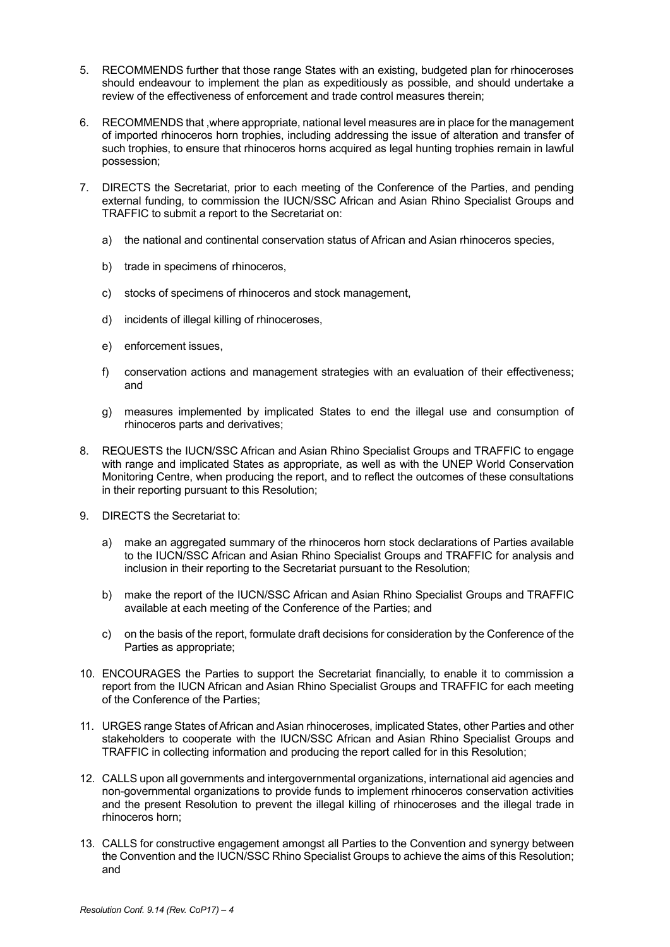- 5. RECOMMENDS further that those range States with an existing, budgeted plan for rhinoceroses should endeavour to implement the plan as expeditiously as possible, and should undertake a review of the effectiveness of enforcement and trade control measures therein;
- 6. RECOMMENDS that ,where appropriate, national level measures are in place for the management of imported rhinoceros horn trophies, including addressing the issue of alteration and transfer of such trophies, to ensure that rhinoceros horns acquired as legal hunting trophies remain in lawful possession;
- 7. DIRECTS the Secretariat, prior to each meeting of the Conference of the Parties, and pending external funding, to commission the IUCN/SSC African and Asian Rhino Specialist Groups and TRAFFIC to submit a report to the Secretariat on:
	- a) the national and continental conservation status of African and Asian rhinoceros species,
	- b) trade in specimens of rhinoceros,
	- c) stocks of specimens of rhinoceros and stock management,
	- d) incidents of illegal killing of rhinoceroses,
	- e) enforcement issues,
	- f) conservation actions and management strategies with an evaluation of their effectiveness; and
	- g) measures implemented by implicated States to end the illegal use and consumption of rhinoceros parts and derivatives;
- 8. REQUESTS the IUCN/SSC African and Asian Rhino Specialist Groups and TRAFFIC to engage with range and implicated States as appropriate, as well as with the UNEP World Conservation Monitoring Centre, when producing the report, and to reflect the outcomes of these consultations in their reporting pursuant to this Resolution;
- 9. DIRECTS the Secretariat to:
	- a) make an aggregated summary of the rhinoceros horn stock declarations of Parties available to the IUCN/SSC African and Asian Rhino Specialist Groups and TRAFFIC for analysis and inclusion in their reporting to the Secretariat pursuant to the Resolution;
	- b) make the report of the IUCN/SSC African and Asian Rhino Specialist Groups and TRAFFIC available at each meeting of the Conference of the Parties; and
	- c) on the basis of the report, formulate draft decisions for consideration by the Conference of the Parties as appropriate;
- 10. ENCOURAGES the Parties to support the Secretariat financially, to enable it to commission a report from the IUCN African and Asian Rhino Specialist Groups and TRAFFIC for each meeting of the Conference of the Parties;
- 11. URGES range States of African and Asian rhinoceroses, implicated States, other Parties and other stakeholders to cooperate with the IUCN/SSC African and Asian Rhino Specialist Groups and TRAFFIC in collecting information and producing the report called for in this Resolution;
- 12. CALLS upon all governments and intergovernmental organizations, international aid agencies and non-governmental organizations to provide funds to implement rhinoceros conservation activities and the present Resolution to prevent the illegal killing of rhinoceroses and the illegal trade in rhinoceros horn;
- 13. CALLS for constructive engagement amongst all Parties to the Convention and synergy between the Convention and the IUCN/SSC Rhino Specialist Groups to achieve the aims of this Resolution; and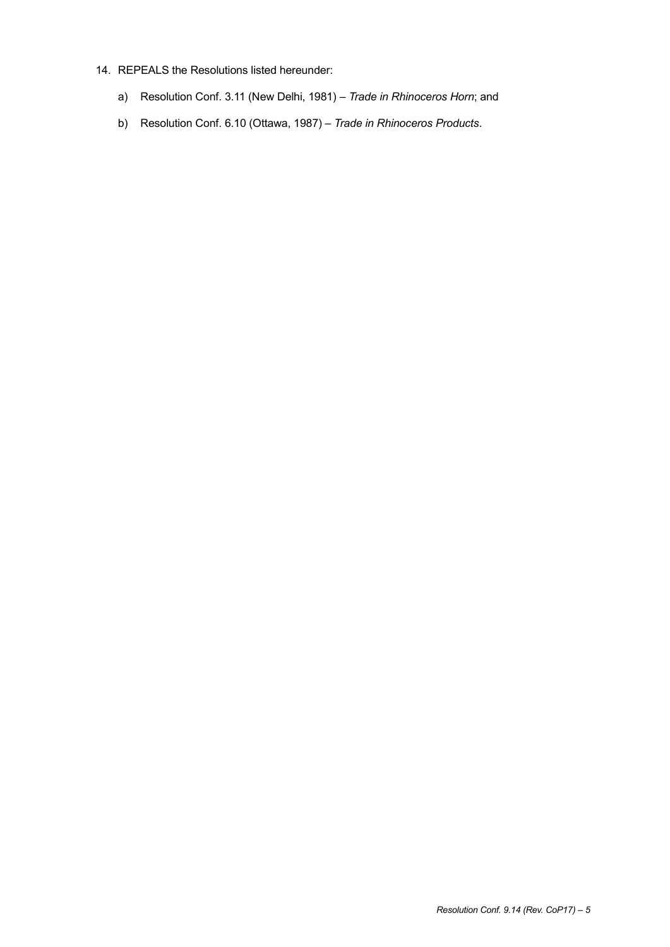#### 14. REPEALS the Resolutions listed hereunder:

- a) Resolution Conf. 3.11 (New Delhi, 1981) *Trade in Rhinoceros Horn*; and
- b) Resolution Conf. 6.10 (Ottawa, 1987) *Trade in Rhinoceros Products*.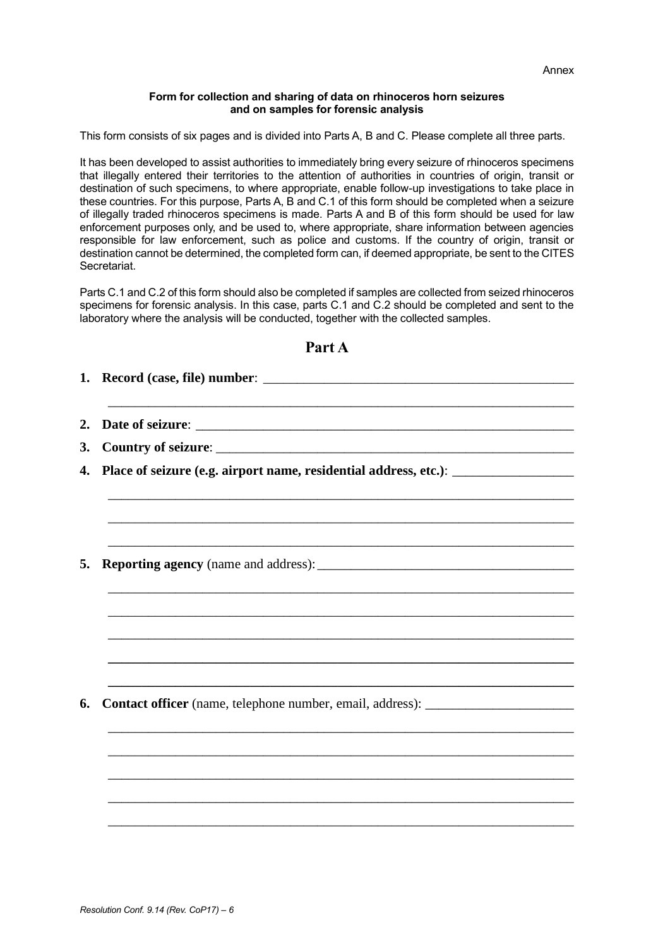#### **Form for collection and sharing of data on rhinoceros horn seizures and on samples for forensic analysis**

This form consists of six pages and is divided into Parts A, B and C. Please complete all three parts.

It has been developed to assist authorities to immediately bring every seizure of rhinoceros specimens that illegally entered their territories to the attention of authorities in countries of origin, transit or destination of such specimens, to where appropriate, enable follow-up investigations to take place in these countries. For this purpose, Parts A, B and C.1 of this form should be completed when a seizure of illegally traded rhinoceros specimens is made. Parts A and B of this form should be used for law enforcement purposes only, and be used to, where appropriate, share information between agencies responsible for law enforcement, such as police and customs. If the country of origin, transit or destination cannot be determined, the completed form can, if deemed appropriate, be sent to the CITES Secretariat.

Parts C.1 and C.2 of this form should also be completed if samples are collected from seized rhinoceros specimens for forensic analysis. In this case, parts C.1 and C.2 should be completed and sent to the laboratory where the analysis will be conducted, together with the collected samples.

| Place of seizure (e.g. airport name, residential address, etc.): ________________ |
|-----------------------------------------------------------------------------------|
|                                                                                   |
|                                                                                   |
|                                                                                   |
|                                                                                   |
|                                                                                   |
|                                                                                   |
|                                                                                   |
| Contact officer (name, telephone number, email, address): ______________________  |
|                                                                                   |
|                                                                                   |
|                                                                                   |
|                                                                                   |

## **Part A**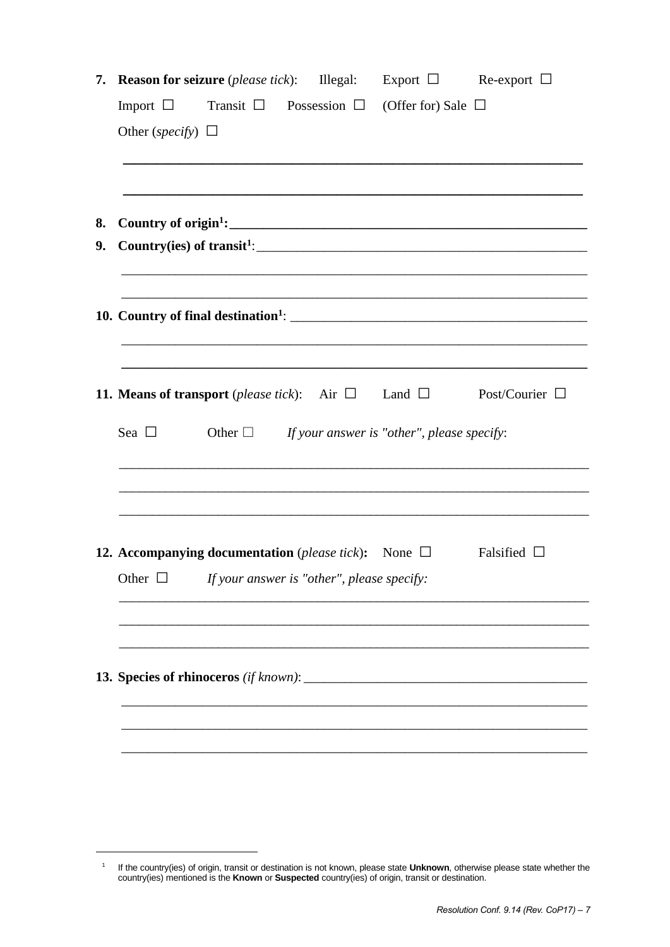|    | <b>7. Reason for seizure</b> ( <i>please tick</i> ): Illegal: Export $\Box$ Re-export $\Box$  |
|----|-----------------------------------------------------------------------------------------------|
|    | Import $\Box$ Transit $\Box$ Possession $\Box$ (Offer for) Sale $\Box$                        |
|    | Other (specify) $\Box$                                                                        |
|    |                                                                                               |
|    |                                                                                               |
| 8. |                                                                                               |
| 9. |                                                                                               |
|    |                                                                                               |
|    |                                                                                               |
|    |                                                                                               |
|    |                                                                                               |
|    |                                                                                               |
|    | <b>11. Means of transport</b> (please tick): Air $\Box$ Land $\Box$ Post/Courier $\Box$       |
|    | Sea $\Box$<br>Other $\Box$ If your answer is "other", please specify:                         |
|    |                                                                                               |
|    |                                                                                               |
|    |                                                                                               |
|    |                                                                                               |
|    | <b>12. Accompanying documentation</b> ( <i>please tick</i> ): None $\Box$<br>Falsified $\Box$ |
|    | Other $\Box$<br>If your answer is "other", please specify:                                    |
|    |                                                                                               |
|    |                                                                                               |
|    |                                                                                               |
|    |                                                                                               |
|    |                                                                                               |
|    |                                                                                               |
|    |                                                                                               |

-

<sup>1</sup> If the country(ies) of origin, transit or destination is not known, please state **Unknown**, otherwise please state whether the country(ies) mentioned is the **Known** or **Suspected** country(ies) of origin, transit or destination.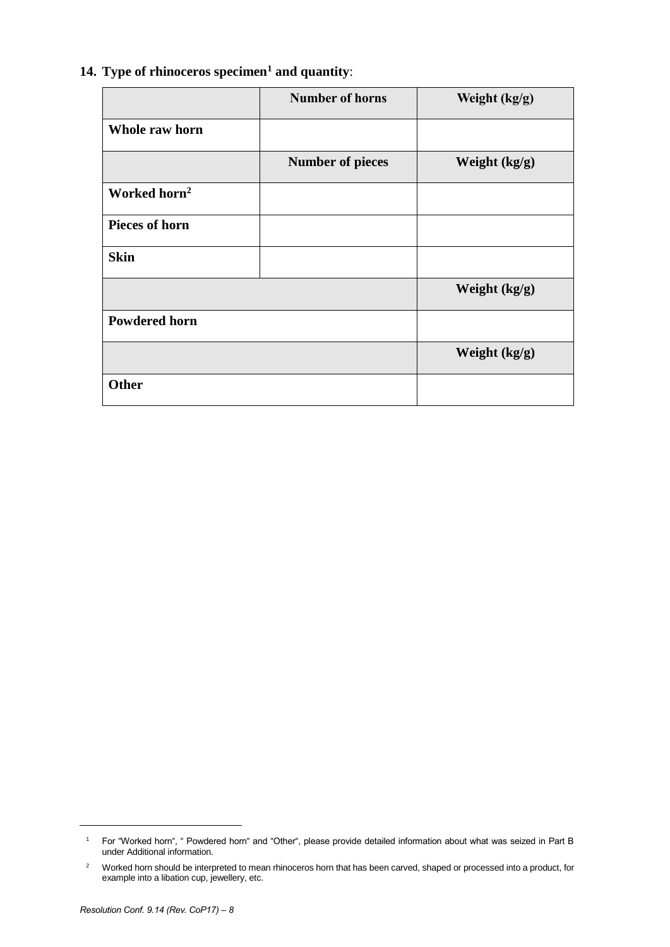|                          | <b>Number of horns</b>  | Weight (kg/g) |
|--------------------------|-------------------------|---------------|
| Whole raw horn           |                         |               |
|                          | <b>Number of pieces</b> | Weight (kg/g) |
| Worked horn <sup>2</sup> |                         |               |
| <b>Pieces of horn</b>    |                         |               |
| <b>Skin</b>              |                         |               |
|                          |                         | Weight (kg/g) |
| <b>Powdered horn</b>     |                         |               |
|                          |                         | Weight (kg/g) |
| <b>Other</b>             |                         |               |

## **14. Type of rhinoceros specimen<sup>1</sup> and quantity**:

l

<sup>1</sup> For "Worked horn", " Powdered horn" and "Other", please provide detailed information about what was seized in Part B under Additional information.

<sup>&</sup>lt;sup>2</sup> Worked horn should be interpreted to mean rhinoceros horn that has been carved, shaped or processed into a product, for example into a libation cup, jewellery, etc.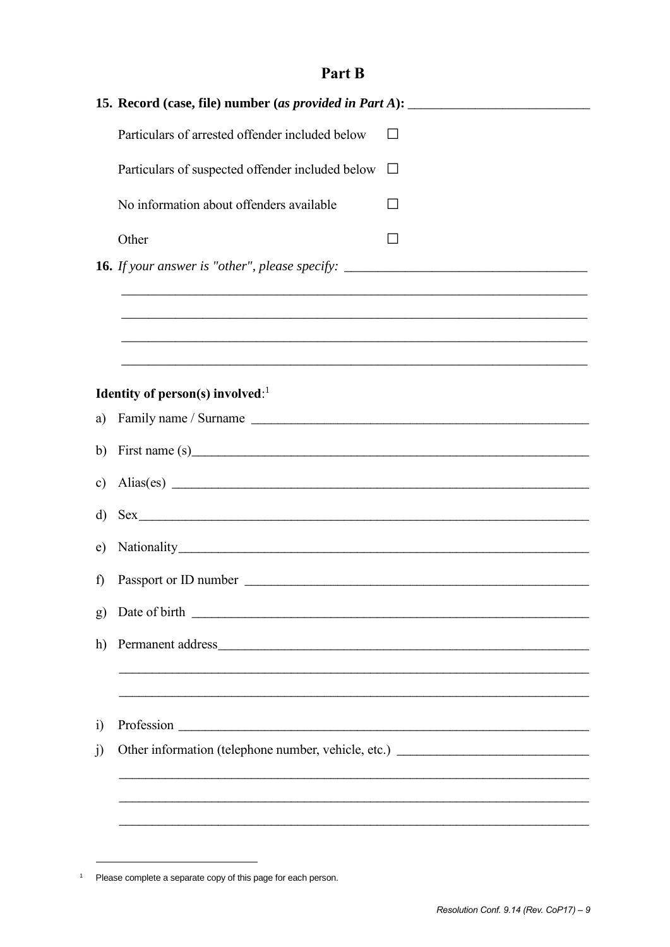# Part B

| 15. Record (case, file) number (as provided in Part A): _________________________ |                                                                                                                                                    |                                                                                                                       |
|-----------------------------------------------------------------------------------|----------------------------------------------------------------------------------------------------------------------------------------------------|-----------------------------------------------------------------------------------------------------------------------|
|                                                                                   | Particulars of arrested offender included below                                                                                                    | $\mathsf{L}$                                                                                                          |
|                                                                                   | Particulars of suspected offender included below                                                                                                   | $\Box$                                                                                                                |
|                                                                                   | No information about offenders available                                                                                                           | $\perp$                                                                                                               |
|                                                                                   | Other                                                                                                                                              |                                                                                                                       |
|                                                                                   |                                                                                                                                                    |                                                                                                                       |
|                                                                                   |                                                                                                                                                    |                                                                                                                       |
|                                                                                   |                                                                                                                                                    |                                                                                                                       |
|                                                                                   |                                                                                                                                                    | <u> 1980 - Johann Stoff, deutscher Stoff, der Stoff, der Stoff, der Stoff, der Stoff, der Stoff, der Stoff, der S</u> |
|                                                                                   | Identity of person(s) involved: $1$                                                                                                                |                                                                                                                       |
| a)                                                                                |                                                                                                                                                    |                                                                                                                       |
| b)                                                                                |                                                                                                                                                    |                                                                                                                       |
| $\mathbf{c})$                                                                     | Alias(es)                                                                                                                                          |                                                                                                                       |
| d)                                                                                |                                                                                                                                                    |                                                                                                                       |
| e)                                                                                |                                                                                                                                                    |                                                                                                                       |
| $\mathbf{f}$                                                                      |                                                                                                                                                    |                                                                                                                       |
| g)                                                                                |                                                                                                                                                    |                                                                                                                       |
| h)                                                                                |                                                                                                                                                    |                                                                                                                       |
|                                                                                   |                                                                                                                                                    |                                                                                                                       |
|                                                                                   | ,我们也不能在这里的时候,我们也不能在这里的时候,我们也不能在这里的时候,我们也不能会不能会不能会不能会不能会不能会不能会。<br>第2012章 我们的时候,我们的时候,我们的时候,我们的时候,我们的时候,我们的时候,我们的时候,我们的时候,我们的时候,我们的时候,我们的时候,我们的时候,我 |                                                                                                                       |
| $\ddot{1}$                                                                        |                                                                                                                                                    |                                                                                                                       |
| j)                                                                                | Other information (telephone number, vehicle, etc.) ____________________________                                                                   |                                                                                                                       |
|                                                                                   |                                                                                                                                                    |                                                                                                                       |
|                                                                                   |                                                                                                                                                    |                                                                                                                       |
|                                                                                   |                                                                                                                                                    |                                                                                                                       |

<sup>&</sup>lt;sup>1</sup> Please complete a separate copy of this page for each person.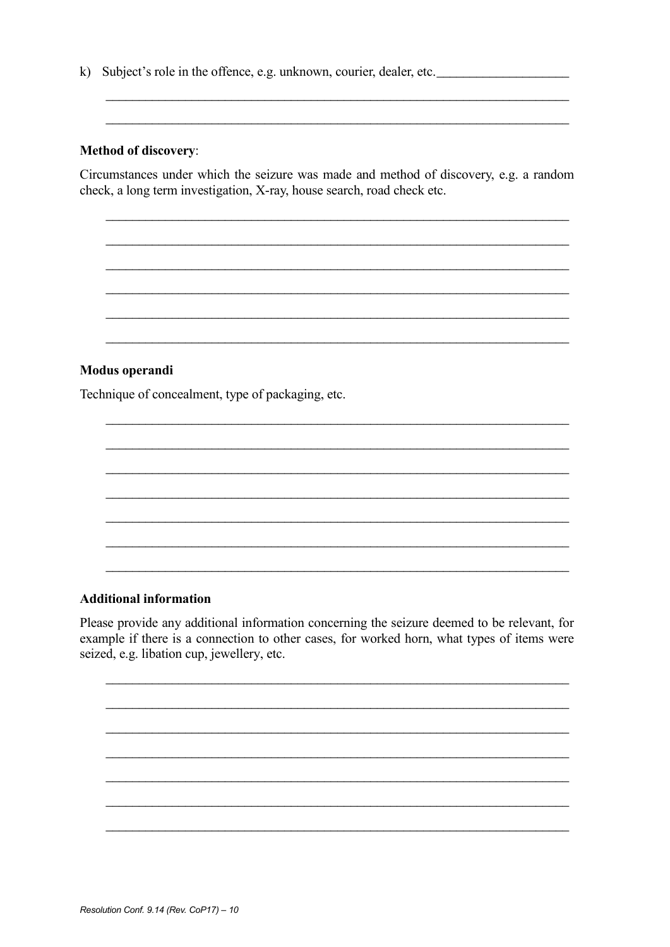k) Subject's role in the offence, e.g. unknown, courier, dealer, etc.

### **Method of discovery:**

Circumstances under which the seizure was made and method of discovery, e.g. a random check, a long term investigation, X-ray, house search, road check etc.

### Modus operandi

Technique of concealment, type of packaging, etc.

### **Additional information**

Please provide any additional information concerning the seizure deemed to be relevant, for example if there is a connection to other cases, for worked horn, what types of items were seized, e.g. libation cup, jewellery, etc.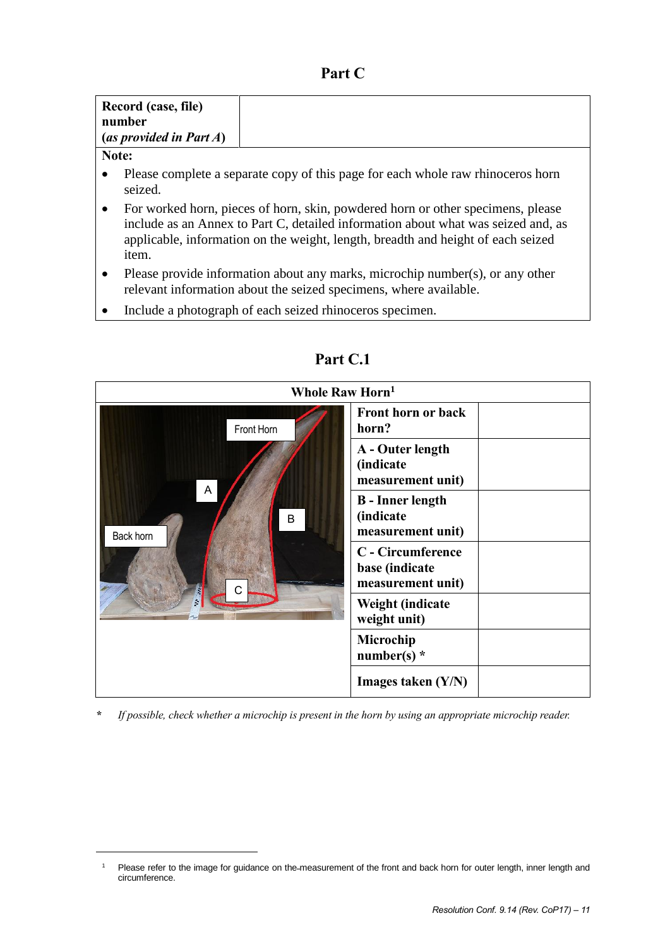## **Part C**

| Record (case, file)<br>number<br>(as provided in Part $A$ ) |                                                                                            |  |  |
|-------------------------------------------------------------|--------------------------------------------------------------------------------------------|--|--|
|                                                             | Note:                                                                                      |  |  |
|                                                             | Please complete a separate copy of this page for each whole raw rhinoceros horn<br>seized. |  |  |

- For worked horn, pieces of horn, skin, powdered horn or other specimens, please include as an Annex to Part C, detailed information about what was seized and, as applicable, information on the weight, length, breadth and height of each seized item.
- Please provide information about any marks, microchip number(s), or any other relevant information about the seized specimens, where available.
- Include a photograph of each seized rhinoceros specimen.



**Part C.1**

*\* If possible, check whether a microchip is present in the horn by using an appropriate microchip reader.*

-

Please refer to the image for guidance on the measurement of the front and back horn for outer length, inner length and circumference.